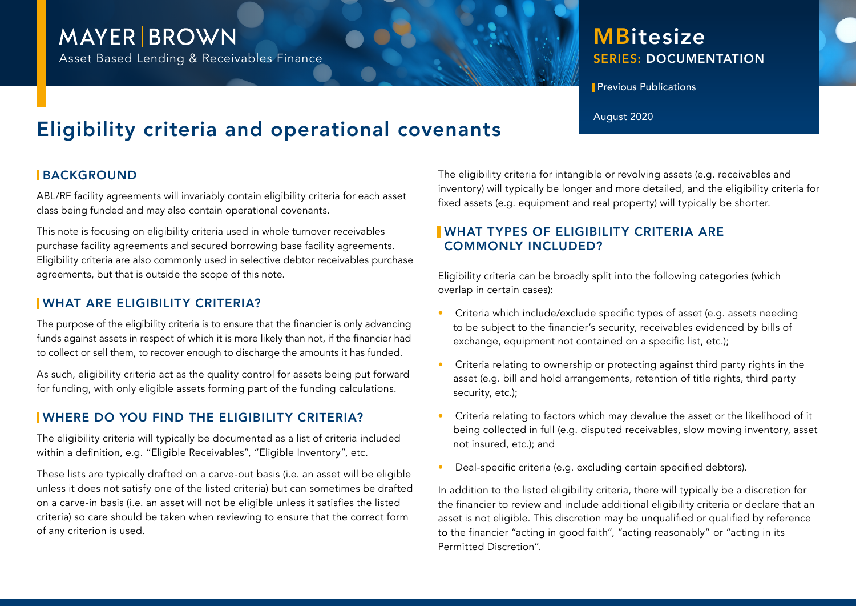## **MAYER BROWN**

Asset Based Lending & Receivables Finance

### SERIES: DOCUMENTATION **MBitesize**

**Previous Publications** 

# Eligibility criteria and operational covenants August 2020

#### **BACKGROUND**

ABL/RF facility agreements will invariably contain eligibility criteria for each asset class being funded and may also contain operational covenants.

This note is focusing on eligibility criteria used in whole turnover receivables purchase facility agreements and secured borrowing base facility agreements. Eligibility criteria are also commonly used in selective debtor receivables purchase agreements, but that is outside the scope of this note.

#### WHAT ARE ELIGIBILITY CRITERIA?

The purpose of the eligibility criteria is to ensure that the financier is only advancing funds against assets in respect of which it is more likely than not, if the financier had to collect or sell them, to recover enough to discharge the amounts it has funded.

As such, eligibility criteria act as the quality control for assets being put forward for funding, with only eligible assets forming part of the funding calculations.

#### WHERE DO YOU FIND THE ELIGIBILITY CRITERIA?

The eligibility criteria will typically be documented as a list of criteria included within a definition, e.g. "Eligible Receivables", "Eligible Inventory", etc.

These lists are typically drafted on a carve-out basis (i.e. an asset will be eligible unless it does not satisfy one of the listed criteria) but can sometimes be drafted on a carve-in basis (i.e. an asset will not be eligible unless it satisfies the listed criteria) so care should be taken when reviewing to ensure that the correct form of any criterion is used.

The eligibility criteria for intangible or revolving assets (e.g. receivables and inventory) will typically be longer and more detailed, and the eligibility criteria for fixed assets (e.g. equipment and real property) will typically be shorter.

#### WHAT TYPES OF ELIGIBILITY CRITERIA ARE COMMONLY INCLUDED?

Eligibility criteria can be broadly split into the following categories (which overlap in certain cases):

- Criteria which include/exclude specific types of asset (e.g. assets needing to be subject to the financier's security, receivables evidenced by bills of exchange, equipment not contained on a specific list, etc.);
- Criteria relating to ownership or protecting against third party rights in the asset (e.g. bill and hold arrangements, retention of title rights, third party security, etc.);
- Criteria relating to factors which may devalue the asset or the likelihood of it being collected in full (e.g. disputed receivables, slow moving inventory, asset not insured, etc.); and
- Deal-specific criteria (e.g. excluding certain specified debtors).

In addition to the listed eligibility criteria, there will typically be a discretion for the financier to review and include additional eligibility criteria or declare that an asset is not eligible. This discretion may be unqualified or qualified by reference to the financier "acting in good faith", "acting reasonably" or "acting in its Permitted Discretion".